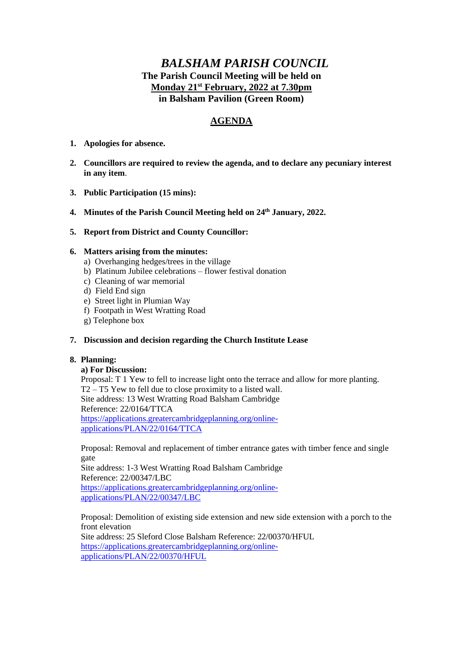# *BALSHAM PARISH COUNCIL* **The Parish Council Meeting will be held on Monday 21st February, 2022 at 7.30pm in Balsham Pavilion (Green Room)**

# **AGENDA**

- **1. Apologies for absence.**
- **2. Councillors are required to review the agenda, and to declare any pecuniary interest in any item**.
- **3. Public Participation (15 mins):**
- **4. Minutes of the Parish Council Meeting held on 24th January, 2022.**
- **5. Report from District and County Councillor:**

# **6. Matters arising from the minutes:**

- a) Overhanging hedges/trees in the village
- b) Platinum Jubilee celebrations flower festival donation
- c) Cleaning of war memorial
- d) Field End sign
- e) Street light in Plumian Way
- f) Footpath in West Wratting Road
- g) Telephone box

# **7. Discussion and decision regarding the Church Institute Lease**

# **8. Planning:**

#### **a) For Discussion:**

Proposal: T 1 Yew to fell to increase light onto the terrace and allow for more planting. T2 – T5 Yew to fell due to close proximity to a listed wall. Site address: 13 West Wratting Road Balsham Cambridge Reference: 22/0164/TTCA [https://applications.greatercambridgeplanning.org/online](https://applications.greatercambridgeplanning.org/online-applications/PLAN/22/0164/TTCA)[applications/PLAN/22/0164/TTCA](https://applications.greatercambridgeplanning.org/online-applications/PLAN/22/0164/TTCA)

Proposal: Removal and replacement of timber entrance gates with timber fence and single gate

Site address: 1-3 West Wratting Road Balsham Cambridge Reference: 22/00347/LBC [https://applications.greatercambridgeplanning.org/online](https://applications.greatercambridgeplanning.org/online-applications/PLAN/22/00347/LBC)[applications/PLAN/22/00347/LBC](https://applications.greatercambridgeplanning.org/online-applications/PLAN/22/00347/LBC)

Proposal: Demolition of existing side extension and new side extension with a porch to the front elevation Site address: 25 Sleford Close Balsham Reference: 22/00370/HFUL [https://applications.greatercambridgeplanning.org/online](https://applications.greatercambridgeplanning.org/online-applications/PLAN/22/00370/HFUL)[applications/PLAN/22/00370/HFUL](https://applications.greatercambridgeplanning.org/online-applications/PLAN/22/00370/HFUL)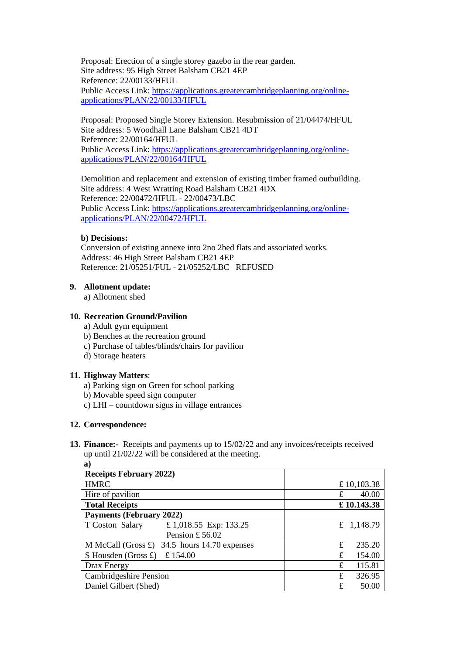Proposal: Erection of a single storey gazebo in the rear garden. Site address: 95 High Street Balsham CB21 4EP Reference: 22/00133/HFUL Public Access Link: [https://applications.greatercambridgeplanning.org/online](https://applications.greatercambridgeplanning.org/online-applications/PLAN/22/00133/HFUL)[applications/PLAN/22/00133/HFUL](https://applications.greatercambridgeplanning.org/online-applications/PLAN/22/00133/HFUL)

Proposal: Proposed Single Storey Extension. Resubmission of 21/04474/HFUL Site address: 5 Woodhall Lane Balsham CB21 4DT Reference: 22/00164/HFUL Public Access Link: [https://applications.greatercambridgeplanning.org/online](https://applications.greatercambridgeplanning.org/online-applications/PLAN/22/00164/HFUL)[applications/PLAN/22/00164/HFUL](https://applications.greatercambridgeplanning.org/online-applications/PLAN/22/00164/HFUL)

Demolition and replacement and extension of existing timber framed outbuilding. Site address: 4 West Wratting Road Balsham CB21 4DX Reference: 22/00472/HFUL - 22/00473/LBC Public Access Link: [https://applications.greatercambridgeplanning.org/online](https://applications.greatercambridgeplanning.org/online-applications/PLAN/22/00472/HFUL)[applications/PLAN/22/00472/HFUL](https://applications.greatercambridgeplanning.org/online-applications/PLAN/22/00472/HFUL)

# **b) Decisions:**

Conversion of existing annexe into 2no 2bed flats and associated works. Address: 46 High Street Balsham CB21 4EP Reference: 21/05251/FUL - 21/05252/LBC REFUSED

# **9. Allotment update:**

a) Allotment shed

# **10. Recreation Ground/Pavilion**

- a) Adult gym equipment
- b) Benches at the recreation ground
- c) Purchase of tables/blinds/chairs for pavilion
- d) Storage heaters

# **11. Highway Matters**:

a) Parking sign on Green for school parking

- b) Movable speed sign computer
- c) LHI countdown signs in village entrances

# **12. Correspondence:**

**13. Finance:-** Receipts and payments up to 15/02/22 and any invoices/receipts received up until 21/02/22 will be considered at the meeting.

| $\mathbf{a}$                                          |             |
|-------------------------------------------------------|-------------|
| <b>Receipts February 2022)</b>                        |             |
| <b>HMRC</b>                                           | £10,103.38  |
| Hire of pavilion                                      | 40.00<br>£  |
| <b>Total Receipts</b>                                 | £10.143.38  |
| <b>Payments (February 2022)</b>                       |             |
| £1,018.55 Exp: 133.25<br>T Coston Salary              | £ 1,148.79  |
| Pension £56.02                                        |             |
| M McCall (Gross $\pounds$ ) 34.5 hours 14.70 expenses | £<br>235.20 |
| £ $154.00$<br>S Housden (Gross $\pounds$ )            | 154.00<br>£ |
| Drax Energy                                           | 115.81<br>£ |
| <b>Cambridgeshire Pension</b>                         | 326.95<br>£ |
| Daniel Gilbert (Shed)                                 | £<br>50.00  |